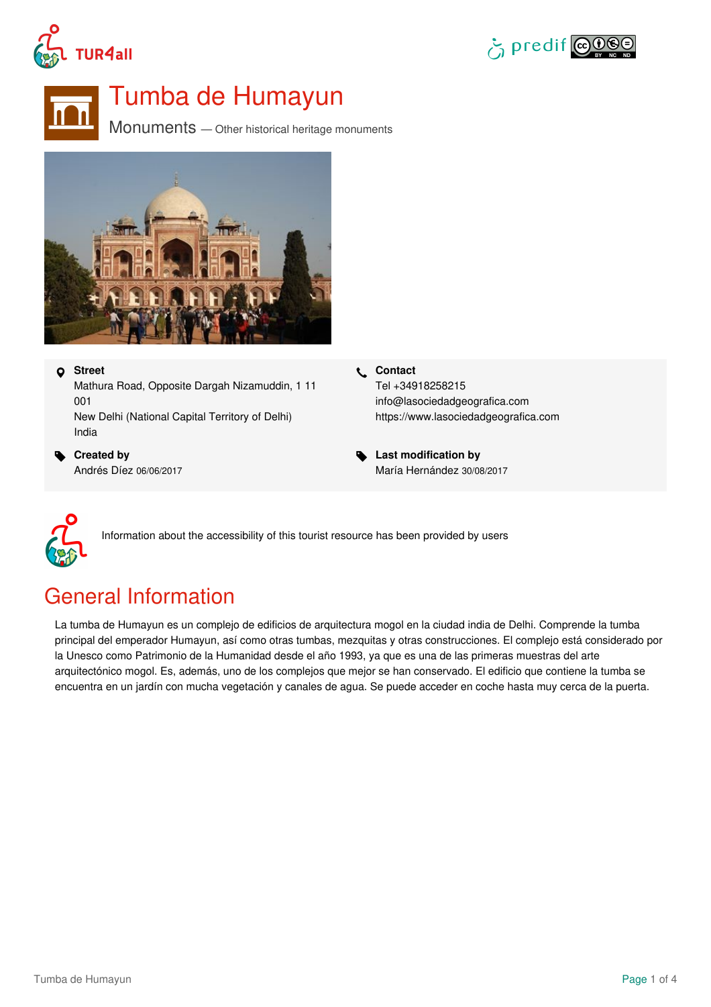





# Tumba de Humayun

 $Monuments$  — Other historical heritage monuments



#### **Street**

Mathura Road, Opposite Dargah Nizamuddin, 1 11 001 New Delhi (National Capital Territory of Delhi) India

 **Created by** Andrés Díez 06/06/2017

- **Contact** Tel +34918258215 info@lasociedadgeografica.com <https://www.lasociedadgeografica.com>
- **Last modification by** María Hernández 30/08/2017



Information about the accessibility of this tourist resource has been provided by users

# General Information

La tumba de Humayun es un complejo de edificios de arquitectura mogol en la ciudad india de Delhi. Comprende la tumba principal del emperador Humayun, así como otras tumbas, mezquitas y otras construcciones. El complejo está considerado por la Unesco como Patrimonio de la Humanidad desde el año 1993, ya que es una de las primeras muestras del arte arquitectónico mogol. Es, además, uno de los complejos que mejor se han conservado. El edificio que contiene la tumba se encuentra en un jardín con mucha vegetación y canales de agua. Se puede acceder en coche hasta muy cerca de la puerta.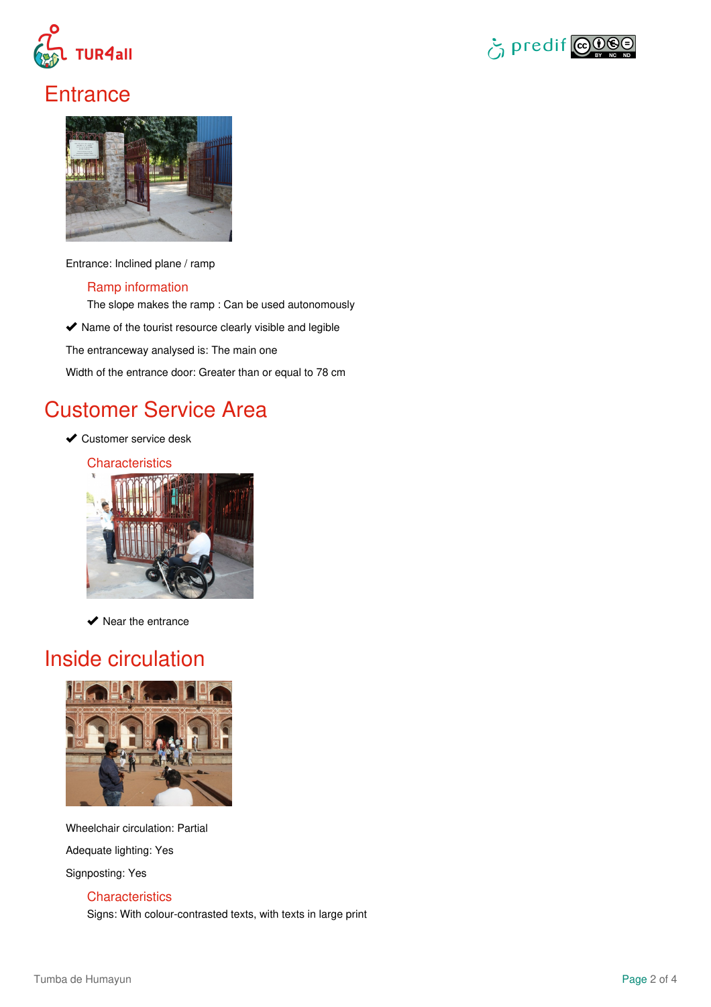



### **Entrance**



Entrance: Inclined plane / ramp

### Ramp information

The slope makes the ramp : Can be used autonomously

 $\blacktriangleright$  Name of the tourist resource clearly visible and legible

The entranceway analysed is: The main one

Width of the entrance door: Greater than or equal to 78 cm

### Customer Service Area

- **◆ Customer service desk** 
	- **Characteristics**



 $\blacktriangleright$  Near the entrance

# Inside circulation



Wheelchair circulation: Partial

Adequate lighting: Yes

Signposting: Yes

### **Characteristics**

Signs: With colour-contrasted texts, with texts in large print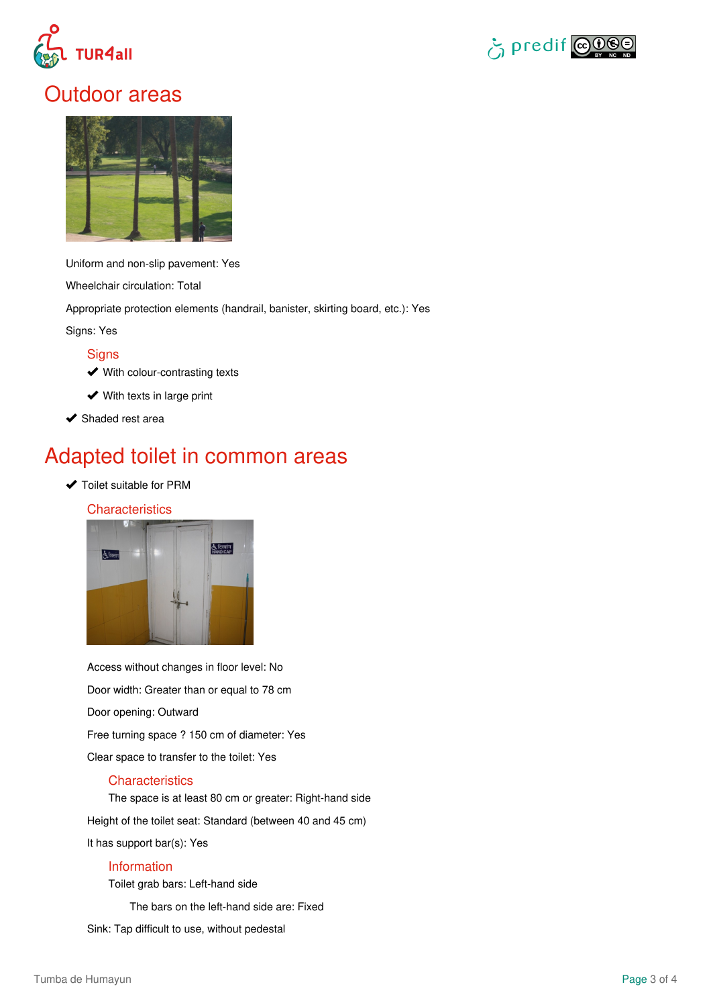



### Outdoor areas



Uniform and non-slip pavement: Yes

Wheelchair circulation: Total

Appropriate protection elements (handrail, banister, skirting board, etc.): Yes

Signs: Yes

### **Signs**

- **◆ With colour-contrasting texts**
- **◆** With texts in large print
- $\blacktriangleright$  Shaded rest area

### Adapted toilet in common areas

◆ Toilet suitable for PRM

### **Characteristics**



Access without changes in floor level: No Door width: Greater than or equal to 78 cm Door opening: Outward Free turning space ? 150 cm of diameter: Yes Clear space to transfer to the toilet: Yes

### **Characteristics**

The space is at least 80 cm or greater: Right-hand side

Height of the toilet seat: Standard (between 40 and 45 cm)

It has support bar(s): Yes

#### Information

Toilet grab bars: Left-hand side

The bars on the left-hand side are: Fixed

Sink: Tap difficult to use, without pedestal